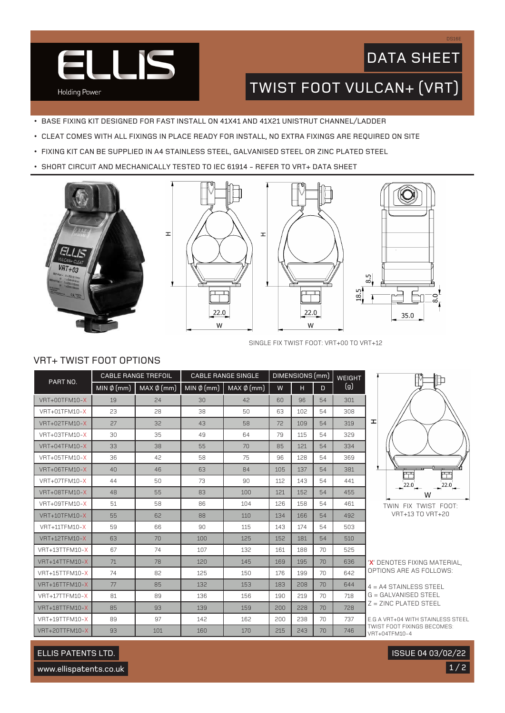

## DATA SHEET

DS16E

TWIST FOOT VULCAN+ (VRT)

- BASE FIXING KIT DESIGNED FOR FAST INSTALL ON 41X41 AND 41X21 UNISTRUT CHANNEL/LADDER
- CLEAT COMES WITH ALL FIXINGS IN PLACE READY FOR INSTALL, NO EXTRA FIXINGS ARE REQUIRED ON SITE

 $\mathbf{I}$ 

- FIXING KIT CAN BE SUPPLIED IN A4 STAINLESS STEEL, GALVANISED STEEL OR ZINC PLATED STEEL
- SHORT CIRCUIT AND MECHANICALLY TESTED TO IEC 61914 REFER TO VRT+ DATA SHEET









SINGLE FIX TWIST FOOT: VRT+00 TO VRT+12

### VRT+ TWIST FOOT OPTIONS

| PART NO.             | <b>CABLE RANGE TREFOIL</b> |                 | <b>CABLE RANGE SINGLE</b> |                 | DIMENSIONS (mm) |     |    | <b>WEIGHT</b> |
|----------------------|----------------------------|-----------------|---------------------------|-----------------|-----------------|-----|----|---------------|
|                      | MIN $\phi$ (mm)            | $MAX \phi$ (mm) | MIN $\phi$ (mm)           | $MAX \phi$ (mm) | W               | н   | D  | (g)           |
| <b>VRT+00TFM10-X</b> | 19                         | 24              | 30                        | 42              | 60              | 96  | 54 | 301           |
| VRT+01TFM10-X        | 23                         | 28              | 38                        | 50              | 63              | 102 | 54 | 308           |
| VRT+02TFM10-X        | 27                         | 32              | 43                        | 58              | 72              | 109 | 54 | 319           |
| VRT+03TFM10-X        | 30                         | 35              | 49                        | 64              | 79              | 115 | 54 | 329           |
| VRT+04TFM10-X        | 33                         | 38              | 55                        | 70              | 85              | 121 | 54 | 334           |
| VRT+05TFM10-X        | 36                         | 42              | 58                        | 75              | 96              | 128 | 54 | 369           |
| VRT+06TFM10-X        | 40                         | 46              | 63                        | 84              | 105             | 137 | 54 | 381           |
| VRT+07TFM10-X        | 44                         | 50              | 73                        | 90              | 112             | 143 | 54 | 441           |
| VRT+08TFM10-X        | 48                         | 55              | 83                        | 100             | 121             | 152 | 54 | 455           |
| VRT+09TFM10-X        | 51                         | 58              | 86                        | 104             | 126             | 158 | 54 | 461           |
| <b>VRT+10TFM10-X</b> | 55                         | 62              | 88                        | 110             | 134             | 166 | 54 | 492           |
| VRT+11TFM10-X        | 59                         | 66              | 90                        | 115             | 143             | 174 | 54 | 503           |
| <b>VRT+12TFM10-X</b> | 63                         | 70              | 100                       | 125             | 152             | 181 | 54 | 510           |
| VRT+13TTFM10-X       | 67                         | 74              | 107                       | 132             | 161             | 188 | 70 | 525           |
| VRT+14TTFM10-X       | 71                         | 78              | 120                       | 145             | 169             | 195 | 70 | 636           |
| VRT+15TTFM10-X       | 74                         | 82              | 125                       | 150             | 176             | 199 | 70 | 642           |
| VRT+16TTFM10-X       | 77                         | 85              | 132                       | 153             | 183             | 208 | 70 | 644           |
| VRT+17TTFM10-X       | 81                         | 89              | 136                       | 156             | 190             | 219 | 70 | 718           |
| VRT+18TTFM10-X       | 85                         | 93              | 139                       | 159             | 200             | 228 | 70 | 728           |
| VRT+19TTFM10-X       | 89                         | 97              | 142                       | 162             | 200             | 238 | 70 | 737           |
| VRT+20TTFM10-X       | 93                         | 101             | 160                       | 170             | 215             | 243 | 70 | 746           |



VRT+13 TO VRT+20

'**X**' DENOTES FIXING MATERIAL, OPTIONS ARE AS FOLLOWS:

```
4 = A4 STAINLESS STEEL
G = GALVANISED STEEL
Z = ZINC PLATED STEEL
```
E.G A VRT+04 WITH STAINLESS STEEL TWIST FOOT FIXINGS BECOMES: VRT+04TFM10-4

## ELLIS PATENTS LTD.

www.ellispatents.co.uk

 $1/2$ ISSUE 04 03/02/22